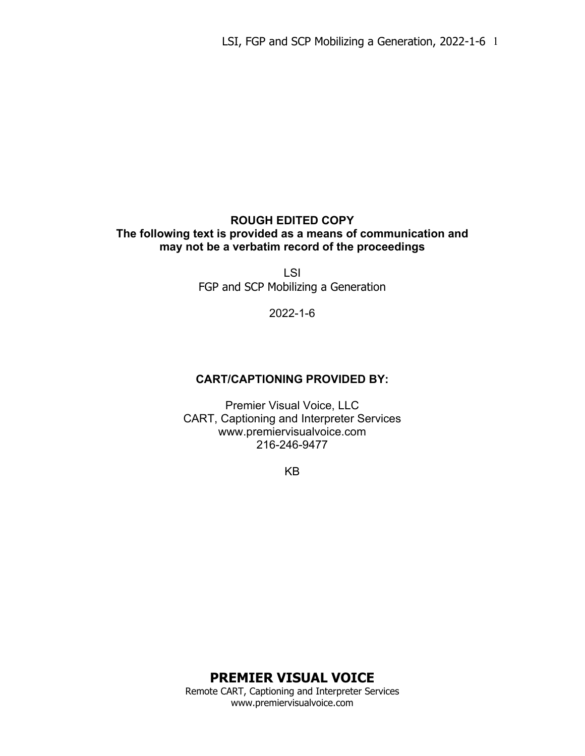### **ROUGH EDITED COPY The following text is provided as a means of communication and may not be a verbatim record of the proceedings**

LSI FGP and SCP Mobilizing a Generation

2022-1-6

### **CART/CAPTIONING PROVIDED BY:**

Premier Visual Voice, LLC CART, Captioning and Interpreter Services www.premiervisualvoice.com 216-246-9477

KB

**PREMIER VISUAL VOICE**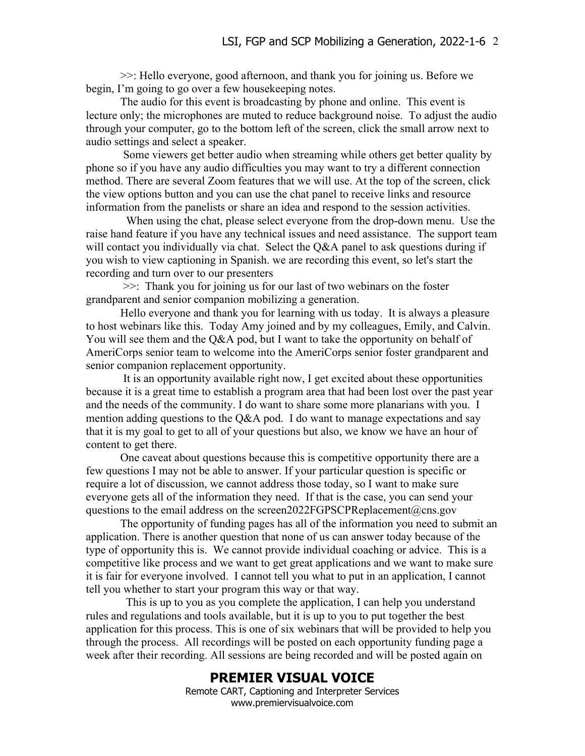>>: Hello everyone, good afternoon, and thank you for joining us. Before we begin, I'm going to go over a few housekeeping notes.

The audio for this event is broadcasting by phone and online. This event is lecture only; the microphones are muted to reduce background noise. To adjust the audio through your computer, go to the bottom left of the screen, click the small arrow next to audio settings and select a speaker.

Some viewers get better audio when streaming while others get better quality by phone so if you have any audio difficulties you may want to try a different connection method. There are several Zoom features that we will use. At the top of the screen, click the view options button and you can use the chat panel to receive links and resource information from the panelists or share an idea and respond to the session activities.

 When using the chat, please select everyone from the drop-down menu. Use the raise hand feature if you have any technical issues and need assistance. The support team will contact you individually via chat. Select the Q&A panel to ask questions during if you wish to view captioning in Spanish. we are recording this event, so let's start the recording and turn over to our presenters

>>: Thank you for joining us for our last of two webinars on the foster grandparent and senior companion mobilizing a generation.

Hello everyone and thank you for learning with us today. It is always a pleasure to host webinars like this. Today Amy joined and by my colleagues, Emily, and Calvin. You will see them and the Q&A pod, but I want to take the opportunity on behalf of AmeriCorps senior team to welcome into the AmeriCorps senior foster grandparent and senior companion replacement opportunity.

It is an opportunity available right now, I get excited about these opportunities because it is a great time to establish a program area that had been lost over the past year and the needs of the community. I do want to share some more planarians with you. I mention adding questions to the Q&A pod. I do want to manage expectations and say that it is my goal to get to all of your questions but also, we know we have an hour of content to get there.

One caveat about questions because this is competitive opportunity there are a few questions I may not be able to answer. If your particular question is specific or require a lot of discussion, we cannot address those today, so I want to make sure everyone gets all of the information they need. If that is the case, you can send your questions to the email address on the screen2022FGPSCPReplacement@cns.gov

The opportunity of funding pages has all of the information you need to submit an application. There is another question that none of us can answer today because of the type of opportunity this is. We cannot provide individual coaching or advice. This is a competitive like process and we want to get great applications and we want to make sure it is fair for everyone involved. I cannot tell you what to put in an application, I cannot tell you whether to start your program this way or that way.

 This is up to you as you complete the application, I can help you understand rules and regulations and tools available, but it is up to you to put together the best application for this process. This is one of six webinars that will be provided to help you through the process. All recordings will be posted on each opportunity funding page a week after their recording. All sessions are being recorded and will be posted again on

#### **PREMIER VISUAL VOICE**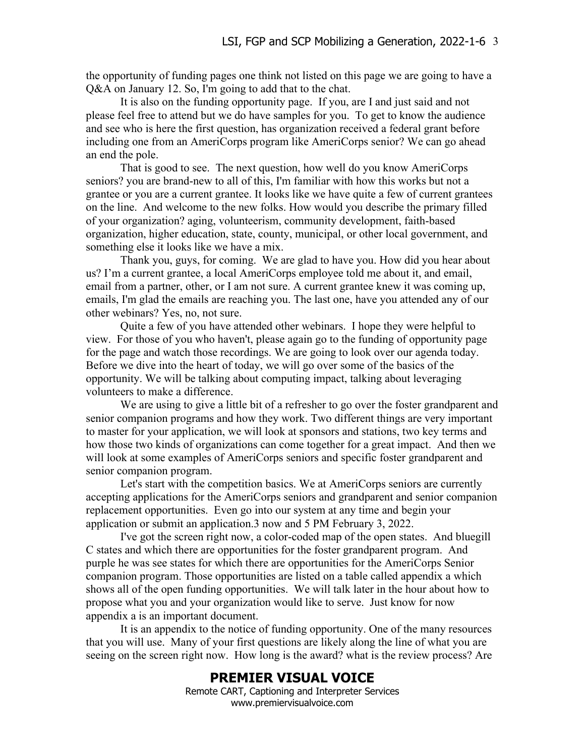the opportunity of funding pages one think not listed on this page we are going to have a Q&A on January 12. So, I'm going to add that to the chat.

It is also on the funding opportunity page. If you, are I and just said and not please feel free to attend but we do have samples for you. To get to know the audience and see who is here the first question, has organization received a federal grant before including one from an AmeriCorps program like AmeriCorps senior? We can go ahead an end the pole.

That is good to see. The next question, how well do you know AmeriCorps seniors? you are brand-new to all of this, I'm familiar with how this works but not a grantee or you are a current grantee. It looks like we have quite a few of current grantees on the line. And welcome to the new folks. How would you describe the primary filled of your organization? aging, volunteerism, community development, faith-based organization, higher education, state, county, municipal, or other local government, and something else it looks like we have a mix.

Thank you, guys, for coming. We are glad to have you. How did you hear about us? I'm a current grantee, a local AmeriCorps employee told me about it, and email, email from a partner, other, or I am not sure. A current grantee knew it was coming up, emails, I'm glad the emails are reaching you. The last one, have you attended any of our other webinars? Yes, no, not sure.

Quite a few of you have attended other webinars. I hope they were helpful to view. For those of you who haven't, please again go to the funding of opportunity page for the page and watch those recordings. We are going to look over our agenda today. Before we dive into the heart of today, we will go over some of the basics of the opportunity. We will be talking about computing impact, talking about leveraging volunteers to make a difference.

We are using to give a little bit of a refresher to go over the foster grandparent and senior companion programs and how they work. Two different things are very important to master for your application, we will look at sponsors and stations, two key terms and how those two kinds of organizations can come together for a great impact. And then we will look at some examples of AmeriCorps seniors and specific foster grandparent and senior companion program.

Let's start with the competition basics. We at AmeriCorps seniors are currently accepting applications for the AmeriCorps seniors and grandparent and senior companion replacement opportunities. Even go into our system at any time and begin your application or submit an application.3 now and 5 PM February 3, 2022.

I've got the screen right now, a color-coded map of the open states. And bluegill C states and which there are opportunities for the foster grandparent program. And purple he was see states for which there are opportunities for the AmeriCorps Senior companion program. Those opportunities are listed on a table called appendix a which shows all of the open funding opportunities. We will talk later in the hour about how to propose what you and your organization would like to serve. Just know for now appendix a is an important document.

It is an appendix to the notice of funding opportunity. One of the many resources that you will use. Many of your first questions are likely along the line of what you are seeing on the screen right now. How long is the award? what is the review process? Are

# **PREMIER VISUAL VOICE**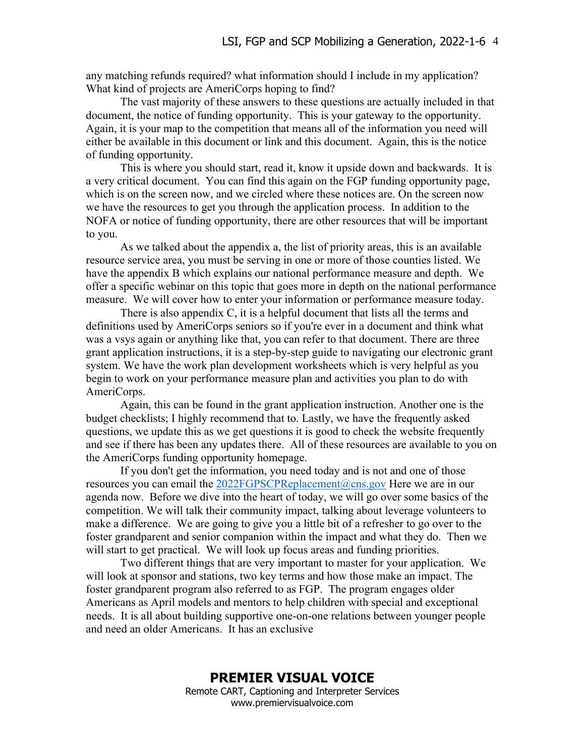any matching refunds required? what information should I include in my application? What kind of projects are AmeriCorps hoping to find?

The vast majority of these answers to these questions are actually included in that document, the notice of funding opportunity. This is your gateway to the opportunity. Again, it is your map to the competition that means all of the information you need will either be available in this document or link and this document. Again, this is the notice of funding opportunity.

This is where you should start, read it, know it upside down and backwards. It is a very critical document. You can find this again on the FGP funding opportunity page, which is on the screen now, and we circled where these notices are. On the screen now we have the resources to get you through the application process. In addition to the NOFA or notice of funding opportunity, there are other resources that will be important to you.

As we talked about the appendix a, the list of priority areas, this is an available resource service area, you must be serving in one or more of those counties listed. We have the appendix B which explains our national performance measure and depth. We offer a specific webinar on this topic that goes more in depth on the national performance measure. We will cover how to enter your information or performance measure today.

There is also appendix C, it is a helpful document that lists all the terms and definitions used by AmeriCorps seniors so if you're ever in a document and think what was a vsys again or anything like that, you can refer to that document. There are three grant application instructions, it is a step-by-step guide to navigating our electronic grant system. We have the work plan development worksheets which is very helpful as you begin to work on your performance measure plan and activities you plan to do with AmeriCorps.

Again, this can be found in the grant application instruction. Another one is the budget checklists; I highly recommend that to. Lastly, we have the frequently asked questions, we update this as we get questions it is good to check the website frequently and see if there has been any updates there. All of these resources are available to you on the AmeriCorps funding opportunity homepage.

If you don't get the information, you need today and is not and one of those resources you can email the  $2022FGPSCPReplacement@cons.gov$  Here we are in our agenda now. Before we dive into the heart of today, we will go over some basics of the competition. We will talk their community impact, talking about leverage volunteers to make a difference. We are going to give you a little bit of a refresher to go over to the foster grandparent and senior companion within the impact and what they do. Then we will start to get practical. We will look up focus areas and funding priorities.

Two different things that are very important to master for your application. We will look at sponsor and stations, two key terms and how those make an impact. The foster grandparent program also referred to as FGP. The program engages older Americans as April models and mentors to help children with special and exceptional needs. It is all about building supportive one-on-one relations between younger people and need an older Americans. It has an exclusive

> **PREMIER VISUAL VOICE** Remote CART, Captioning and Interpreter Services www.premiervisualvoice.com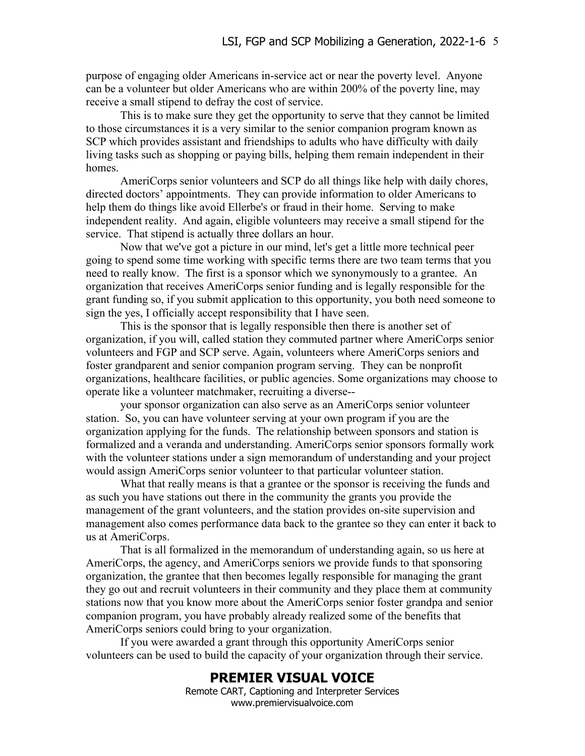purpose of engaging older Americans in-service act or near the poverty level. Anyone can be a volunteer but older Americans who are within 200% of the poverty line, may receive a small stipend to defray the cost of service.

This is to make sure they get the opportunity to serve that they cannot be limited to those circumstances it is a very similar to the senior companion program known as SCP which provides assistant and friendships to adults who have difficulty with daily living tasks such as shopping or paying bills, helping them remain independent in their homes.

AmeriCorps senior volunteers and SCP do all things like help with daily chores, directed doctors' appointments. They can provide information to older Americans to help them do things like avoid Ellerbe's or fraud in their home. Serving to make independent reality. And again, eligible volunteers may receive a small stipend for the service. That stipend is actually three dollars an hour.

Now that we've got a picture in our mind, let's get a little more technical peer going to spend some time working with specific terms there are two team terms that you need to really know. The first is a sponsor which we synonymously to a grantee. An organization that receives AmeriCorps senior funding and is legally responsible for the grant funding so, if you submit application to this opportunity, you both need someone to sign the yes, I officially accept responsibility that I have seen.

This is the sponsor that is legally responsible then there is another set of organization, if you will, called station they commuted partner where AmeriCorps senior volunteers and FGP and SCP serve. Again, volunteers where AmeriCorps seniors and foster grandparent and senior companion program serving. They can be nonprofit organizations, healthcare facilities, or public agencies. Some organizations may choose to operate like a volunteer matchmaker, recruiting a diverse--

your sponsor organization can also serve as an AmeriCorps senior volunteer station. So, you can have volunteer serving at your own program if you are the organization applying for the funds. The relationship between sponsors and station is formalized and a veranda and understanding. AmeriCorps senior sponsors formally work with the volunteer stations under a sign memorandum of understanding and your project would assign AmeriCorps senior volunteer to that particular volunteer station.

What that really means is that a grantee or the sponsor is receiving the funds and as such you have stations out there in the community the grants you provide the management of the grant volunteers, and the station provides on-site supervision and management also comes performance data back to the grantee so they can enter it back to us at AmeriCorps.

That is all formalized in the memorandum of understanding again, so us here at AmeriCorps, the agency, and AmeriCorps seniors we provide funds to that sponsoring organization, the grantee that then becomes legally responsible for managing the grant they go out and recruit volunteers in their community and they place them at community stations now that you know more about the AmeriCorps senior foster grandpa and senior companion program, you have probably already realized some of the benefits that AmeriCorps seniors could bring to your organization.

If you were awarded a grant through this opportunity AmeriCorps senior volunteers can be used to build the capacity of your organization through their service.

# **PREMIER VISUAL VOICE**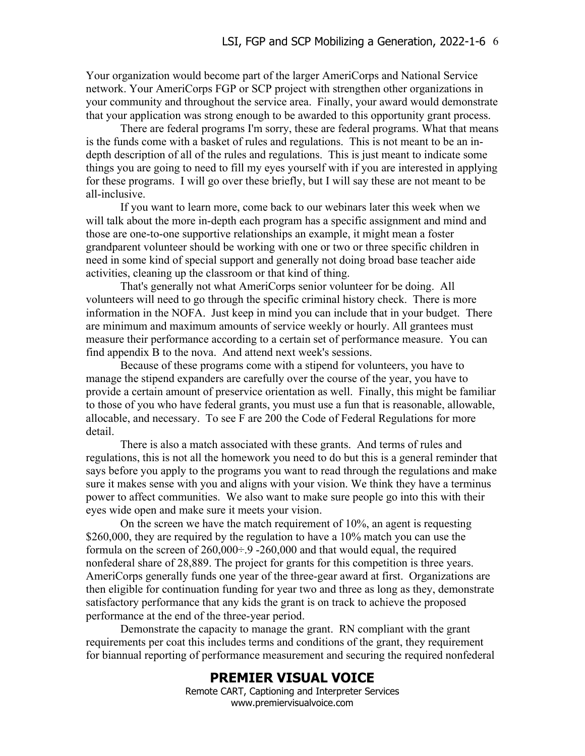Your organization would become part of the larger AmeriCorps and National Service network. Your AmeriCorps FGP or SCP project with strengthen other organizations in your community and throughout the service area. Finally, your award would demonstrate that your application was strong enough to be awarded to this opportunity grant process.

There are federal programs I'm sorry, these are federal programs. What that means is the funds come with a basket of rules and regulations. This is not meant to be an indepth description of all of the rules and regulations. This is just meant to indicate some things you are going to need to fill my eyes yourself with if you are interested in applying for these programs. I will go over these briefly, but I will say these are not meant to be all-inclusive.

If you want to learn more, come back to our webinars later this week when we will talk about the more in-depth each program has a specific assignment and mind and those are one-to-one supportive relationships an example, it might mean a foster grandparent volunteer should be working with one or two or three specific children in need in some kind of special support and generally not doing broad base teacher aide activities, cleaning up the classroom or that kind of thing.

That's generally not what AmeriCorps senior volunteer for be doing. All volunteers will need to go through the specific criminal history check. There is more information in the NOFA. Just keep in mind you can include that in your budget. There are minimum and maximum amounts of service weekly or hourly. All grantees must measure their performance according to a certain set of performance measure. You can find appendix B to the nova. And attend next week's sessions.

Because of these programs come with a stipend for volunteers, you have to manage the stipend expanders are carefully over the course of the year, you have to provide a certain amount of preservice orientation as well. Finally, this might be familiar to those of you who have federal grants, you must use a fun that is reasonable, allowable, allocable, and necessary. To see F are 200 the Code of Federal Regulations for more detail.

There is also a match associated with these grants. And terms of rules and regulations, this is not all the homework you need to do but this is a general reminder that says before you apply to the programs you want to read through the regulations and make sure it makes sense with you and aligns with your vision. We think they have a terminus power to affect communities. We also want to make sure people go into this with their eyes wide open and make sure it meets your vision.

On the screen we have the match requirement of 10%, an agent is requesting \$260,000, they are required by the regulation to have a 10% match you can use the formula on the screen of  $260,000 \div 9 - 260,000$  and that would equal, the required nonfederal share of 28,889. The project for grants for this competition is three years. AmeriCorps generally funds one year of the three-gear award at first. Organizations are then eligible for continuation funding for year two and three as long as they, demonstrate satisfactory performance that any kids the grant is on track to achieve the proposed performance at the end of the three-year period.

Demonstrate the capacity to manage the grant. RN compliant with the grant requirements per coat this includes terms and conditions of the grant, they requirement for biannual reporting of performance measurement and securing the required nonfederal

#### **PREMIER VISUAL VOICE**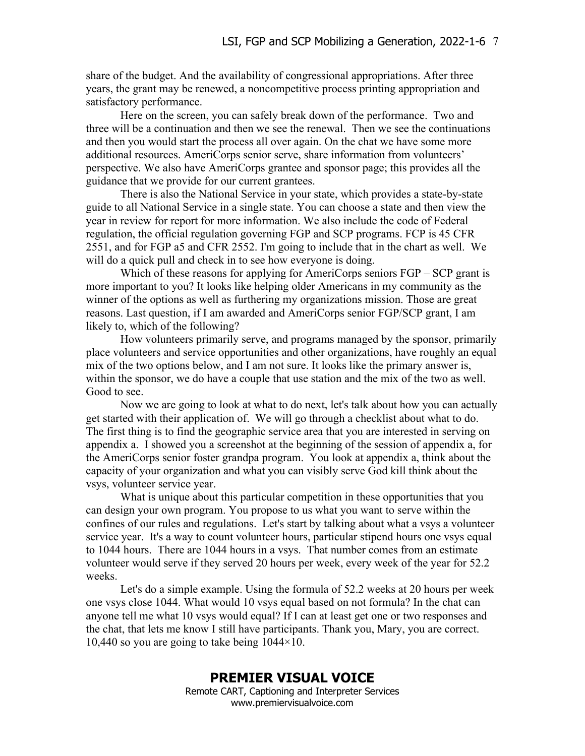share of the budget. And the availability of congressional appropriations. After three years, the grant may be renewed, a noncompetitive process printing appropriation and satisfactory performance.

Here on the screen, you can safely break down of the performance. Two and three will be a continuation and then we see the renewal. Then we see the continuations and then you would start the process all over again. On the chat we have some more additional resources. AmeriCorps senior serve, share information from volunteers' perspective. We also have AmeriCorps grantee and sponsor page; this provides all the guidance that we provide for our current grantees.

There is also the National Service in your state, which provides a state-by-state guide to all National Service in a single state. You can choose a state and then view the year in review for report for more information. We also include the code of Federal regulation, the official regulation governing FGP and SCP programs. FCP is 45 CFR 2551, and for FGP a5 and CFR 2552. I'm going to include that in the chart as well. We will do a quick pull and check in to see how everyone is doing.

Which of these reasons for applying for AmeriCorps seniors  $FGP -SCP$  grant is more important to you? It looks like helping older Americans in my community as the winner of the options as well as furthering my organizations mission. Those are great reasons. Last question, if I am awarded and AmeriCorps senior FGP/SCP grant, I am likely to, which of the following?

How volunteers primarily serve, and programs managed by the sponsor, primarily place volunteers and service opportunities and other organizations, have roughly an equal mix of the two options below, and I am not sure. It looks like the primary answer is, within the sponsor, we do have a couple that use station and the mix of the two as well. Good to see.

Now we are going to look at what to do next, let's talk about how you can actually get started with their application of. We will go through a checklist about what to do. The first thing is to find the geographic service area that you are interested in serving on appendix a. I showed you a screenshot at the beginning of the session of appendix a, for the AmeriCorps senior foster grandpa program. You look at appendix a, think about the capacity of your organization and what you can visibly serve God kill think about the vsys, volunteer service year.

What is unique about this particular competition in these opportunities that you can design your own program. You propose to us what you want to serve within the confines of our rules and regulations. Let's start by talking about what a vsys a volunteer service year. It's a way to count volunteer hours, particular stipend hours one vsys equal to 1044 hours. There are 1044 hours in a vsys. That number comes from an estimate volunteer would serve if they served 20 hours per week, every week of the year for 52.2 weeks.

Let's do a simple example. Using the formula of 52.2 weeks at 20 hours per week one vsys close 1044. What would 10 vsys equal based on not formula? In the chat can anyone tell me what 10 vsys would equal? If I can at least get one or two responses and the chat, that lets me know I still have participants. Thank you, Mary, you are correct. 10,440 so you are going to take being  $1044\times10$ .

### **PREMIER VISUAL VOICE**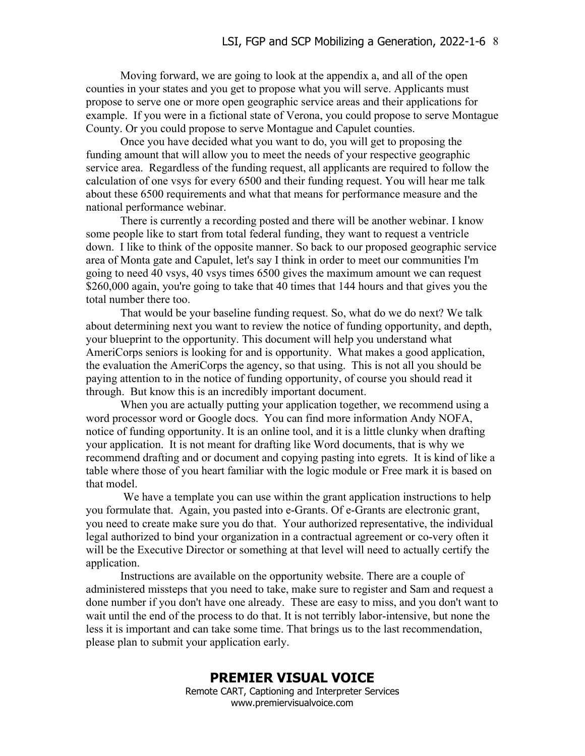Moving forward, we are going to look at the appendix a, and all of the open counties in your states and you get to propose what you will serve. Applicants must propose to serve one or more open geographic service areas and their applications for example. If you were in a fictional state of Verona, you could propose to serve Montague County. Or you could propose to serve Montague and Capulet counties.

Once you have decided what you want to do, you will get to proposing the funding amount that will allow you to meet the needs of your respective geographic service area. Regardless of the funding request, all applicants are required to follow the calculation of one vsys for every 6500 and their funding request. You will hear me talk about these 6500 requirements and what that means for performance measure and the national performance webinar.

There is currently a recording posted and there will be another webinar. I know some people like to start from total federal funding, they want to request a ventricle down. I like to think of the opposite manner. So back to our proposed geographic service area of Monta gate and Capulet, let's say I think in order to meet our communities I'm going to need 40 vsys, 40 vsys times 6500 gives the maximum amount we can request \$260,000 again, you're going to take that 40 times that 144 hours and that gives you the total number there too.

That would be your baseline funding request. So, what do we do next? We talk about determining next you want to review the notice of funding opportunity, and depth, your blueprint to the opportunity. This document will help you understand what AmeriCorps seniors is looking for and is opportunity. What makes a good application, the evaluation the AmeriCorps the agency, so that using. This is not all you should be paying attention to in the notice of funding opportunity, of course you should read it through. But know this is an incredibly important document.

When you are actually putting your application together, we recommend using a word processor word or Google docs. You can find more information Andy NOFA, notice of funding opportunity. It is an online tool, and it is a little clunky when drafting your application. It is not meant for drafting like Word documents, that is why we recommend drafting and or document and copying pasting into egrets. It is kind of like a table where those of you heart familiar with the logic module or Free mark it is based on that model.

We have a template you can use within the grant application instructions to help you formulate that. Again, you pasted into e-Grants. Of e-Grants are electronic grant, you need to create make sure you do that. Your authorized representative, the individual legal authorized to bind your organization in a contractual agreement or co-very often it will be the Executive Director or something at that level will need to actually certify the application.

Instructions are available on the opportunity website. There are a couple of administered missteps that you need to take, make sure to register and Sam and request a done number if you don't have one already. These are easy to miss, and you don't want to wait until the end of the process to do that. It is not terribly labor-intensive, but none the less it is important and can take some time. That brings us to the last recommendation, please plan to submit your application early.

### **PREMIER VISUAL VOICE**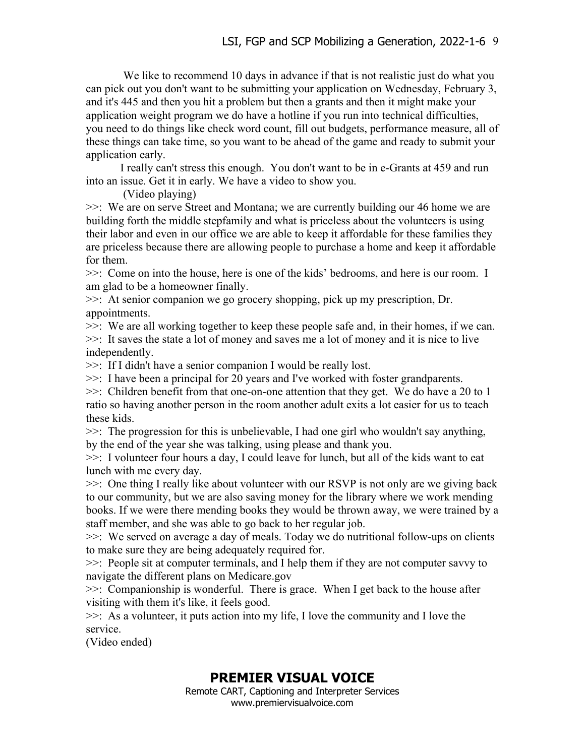We like to recommend 10 days in advance if that is not realistic just do what you can pick out you don't want to be submitting your application on Wednesday, February 3, and it's 445 and then you hit a problem but then a grants and then it might make your application weight program we do have a hotline if you run into technical difficulties, you need to do things like check word count, fill out budgets, performance measure, all of these things can take time, so you want to be ahead of the game and ready to submit your application early.

I really can't stress this enough. You don't want to be in e-Grants at 459 and run into an issue. Get it in early. We have a video to show you.

(Video playing)

>>: We are on serve Street and Montana; we are currently building our 46 home we are building forth the middle stepfamily and what is priceless about the volunteers is using their labor and even in our office we are able to keep it affordable for these families they are priceless because there are allowing people to purchase a home and keep it affordable for them.

>>: Come on into the house, here is one of the kids' bedrooms, and here is our room. I am glad to be a homeowner finally.

>>: At senior companion we go grocery shopping, pick up my prescription, Dr. appointments.

>>: We are all working together to keep these people safe and, in their homes, if we can. >>: It saves the state a lot of money and saves me a lot of money and it is nice to live independently.

>>: If I didn't have a senior companion I would be really lost.

>>: I have been a principal for 20 years and I've worked with foster grandparents.

 $\gg$ : Children benefit from that one-on-one attention that they get. We do have a 20 to 1 ratio so having another person in the room another adult exits a lot easier for us to teach these kids.

>>: The progression for this is unbelievable, I had one girl who wouldn't say anything, by the end of the year she was talking, using please and thank you.

>>: I volunteer four hours a day, I could leave for lunch, but all of the kids want to eat lunch with me every day.

>>: One thing I really like about volunteer with our RSVP is not only are we giving back to our community, but we are also saving money for the library where we work mending books. If we were there mending books they would be thrown away, we were trained by a staff member, and she was able to go back to her regular job.

>>: We served on average a day of meals. Today we do nutritional follow-ups on clients to make sure they are being adequately required for.

>>: People sit at computer terminals, and I help them if they are not computer savvy to navigate the different plans on Medicare.gov

>>: Companionship is wonderful. There is grace. When I get back to the house after visiting with them it's like, it feels good.

>>: As a volunteer, it puts action into my life, I love the community and I love the service.

(Video ended)

# **PREMIER VISUAL VOICE**